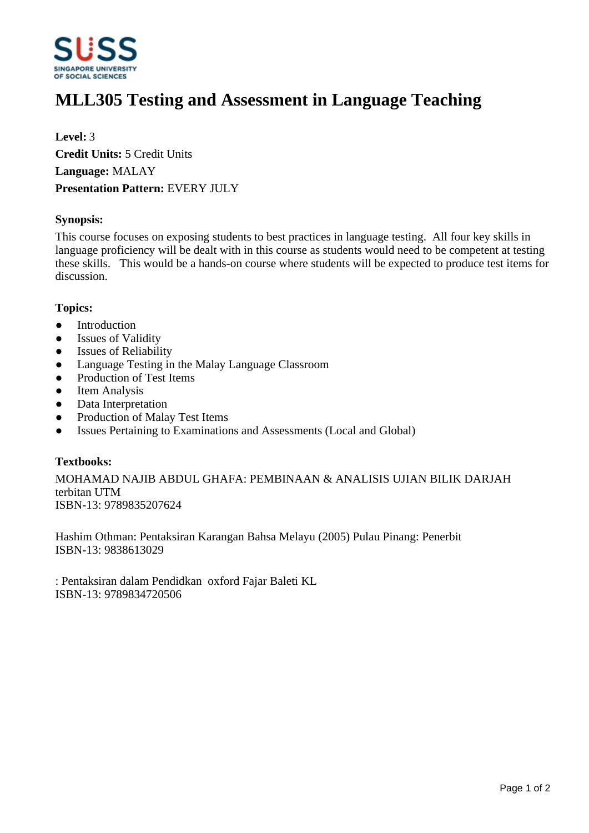

# **MLL305 Testing and Assessment in Language Teaching**

**Level:** 3 **Credit Units:** 5 Credit Units **Language:** MALAY **Presentation Pattern:** EVERY JULY

#### **Synopsis:**

This course focuses on exposing students to best practices in language testing. All four key skills in language proficiency will be dealt with in this course as students would need to be competent at testing these skills. This would be a hands-on course where students will be expected to produce test items for discussion.

#### **Topics:**

- Introduction
- Issues of Validity
- Issues of Reliability
- Language Testing in the Malay Language Classroom
- Production of Test Items
- Item Analysis
- Data Interpretation
- Production of Malay Test Items
- Issues Pertaining to Examinations and Assessments (Local and Global)

### **Textbooks:**

MOHAMAD NAJIB ABDUL GHAFA: PEMBINAAN & ANALISIS UJIAN BILIK DARJAH terbitan UTM ISBN-13: 9789835207624

Hashim Othman: Pentaksiran Karangan Bahsa Melayu (2005) Pulau Pinang: Penerbit ISBN-13: 9838613029

: Pentaksiran dalam Pendidkan oxford Fajar Baleti KL ISBN-13: 9789834720506